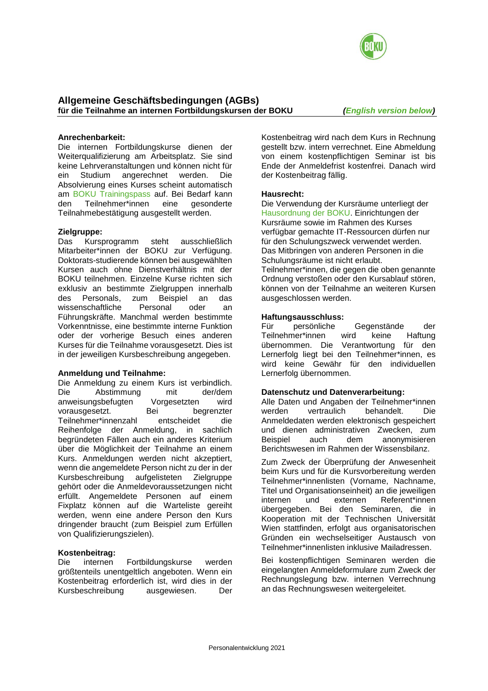

## **Anrechenbarkeit:**

Die internen Fortbildungskurse dienen der Weiterqualifizierung am Arbeitsplatz. Sie sind keine Lehrveranstaltungen und können nicht für ein Studium angerechnet werden. Die Absolvierung eines Kurses scheint automatisch am [BOKU Trainingspass](https://boku.ac.at/personalentwicklung/themen/boku-trainingspass) auf. Bei Bedarf kann den Teilnehmer\*innen eine gesonderte Teilnahmebestätigung ausgestellt werden.

### **Zielgruppe:**

Das Kursprogramm steht ausschließlich Mitarbeiter\*innen der BOKU zur Verfügung. Doktorats-studierende können bei ausgewählten Kursen auch ohne Dienstverhältnis mit der BOKU teilnehmen. Einzelne Kurse richten sich exklusiv an bestimmte Zielgruppen innerhalb des Personals, zum Beispiel an das wissenschaftliche Personal oder an Führungskräfte. Manchmal werden bestimmte Vorkenntnisse, eine bestimmte interne Funktion oder der vorherige Besuch eines anderen Kurses für die Teilnahme vorausgesetzt. Dies ist in der jeweiligen Kursbeschreibung angegeben.

### **Anmeldung und Teilnahme:**

Die Anmeldung zu einem Kurs ist verbindlich. Die Abstimmung mit der/dem anweisungsbefugten Vorgesetzten wird vorausgesetzt. Bei begrenzter Teilnehmer\*innenzahl entscheidet die Reihenfolge der Anmeldung, in sachlich begründeten Fällen auch ein anderes Kriterium über die Möglichkeit der Teilnahme an einem Kurs. Anmeldungen werden nicht akzeptiert, wenn die angemeldete Person nicht zu der in der Kursbeschreibung aufgelisteten Zielgruppe gehört oder die Anmeldevoraussetzungen nicht erfüllt. Angemeldete Personen auf einem Fixplatz können auf die Warteliste gereiht werden, wenn eine andere Person den Kurs dringender braucht (zum Beispiel zum Erfüllen von Qualifizierungszielen).

### **Kostenbeitrag:**

Die internen Fortbildungskurse werden größtenteils unentgeltlich angeboten. Wenn ein Kostenbeitrag erforderlich ist, wird dies in der Kursbeschreibung ausgewiesen. Der

Kostenbeitrag wird nach dem Kurs in Rechnung gestellt bzw. intern verrechnet. Eine Abmeldung von einem kostenpflichtigen Seminar ist bis Ende der Anmeldefrist kostenfrei. Danach wird der Kostenbeitrag fällig.

### **Hausrecht:**

Die Verwendung der Kursräume unterliegt der [Hausordnung der BOKU.](https://boku.ac.at/recht/themen/hausordnung) Einrichtungen der Kursräume sowie im Rahmen des Kurses verfügbar gemachte IT-Ressourcen dürfen nur für den Schulungszweck verwendet werden. Das Mitbringen von anderen Personen in die Schulungsräume ist nicht erlaubt. Teilnehmer\*innen, die gegen die oben genannte

Ordnung verstoßen oder den Kursablauf stören, können von der Teilnahme an weiteren Kursen ausgeschlossen werden.

### **Haftungsausschluss:**

Für persönliche Gegenstände der Teilnehmer\*innen wird keine Haftung übernommen. Die Verantwortung für den Lernerfolg liegt bei den Teilnehmer\*innen, es wird keine Gewähr für den individuellen Lernerfolg übernommen.

### **Datenschutz und Datenverarbeitung:**

Alle Daten und Angaben der Teilnehmer\*innen werden vertraulich behandelt. Die Anmeldedaten werden elektronisch gespeichert und dienen administrativen Zwecken, zum Beispiel auch dem anonymisieren Berichtswesen im Rahmen der Wissensbilanz.

Zum Zweck der Überprüfung der Anwesenheit beim Kurs und für die Kursvorbereitung werden Teilnehmer\*innenlisten (Vorname, Nachname, Titel und Organisationseinheit) an die jeweiligen internen und externen Referent\*innen übergegeben. Bei den Seminaren, die in Kooperation mit der Technischen Universität Wien stattfinden, erfolgt aus organisatorischen Gründen ein wechselseitiger Austausch von Teilnehmer\*innenlisten inklusive Mailadressen.

Bei kostenpflichtigen Seminaren werden die eingelangten Anmeldeformulare zum Zweck der Rechnungslegung bzw. internen Verrechnung an das Rechnungswesen weitergeleitet.